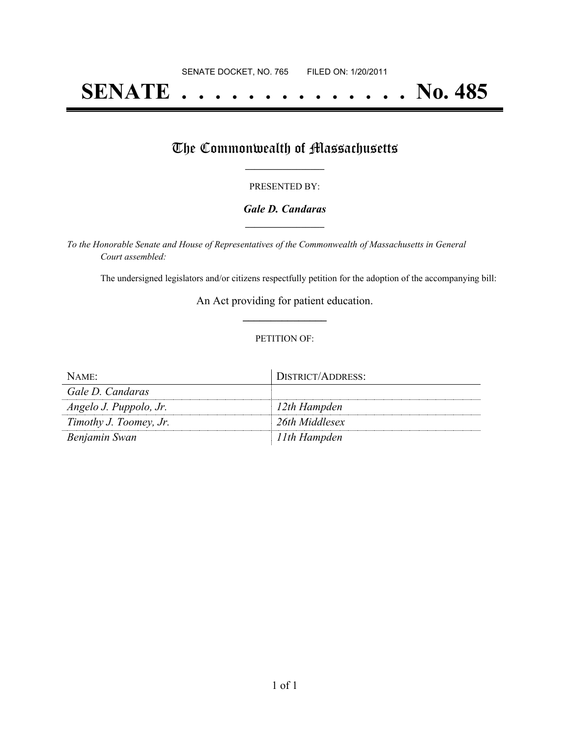# **SENATE . . . . . . . . . . . . . . No. 485**

## The Commonwealth of Massachusetts

#### PRESENTED BY:

#### *Gale D. Candaras* **\_\_\_\_\_\_\_\_\_\_\_\_\_\_\_\_\_**

*To the Honorable Senate and House of Representatives of the Commonwealth of Massachusetts in General Court assembled:*

The undersigned legislators and/or citizens respectfully petition for the adoption of the accompanying bill:

An Act providing for patient education. **\_\_\_\_\_\_\_\_\_\_\_\_\_\_\_**

#### PETITION OF:

| NAME:                  | DISTRICT/ADDRESS: |
|------------------------|-------------------|
| Gale D. Candaras       |                   |
| Angelo J. Puppolo, Jr. | $12$ th Hampden   |
| Timothy J. Toomey, Jr. | 26th Middlesex    |
| Benjamin Swan          | 11th Hampden      |